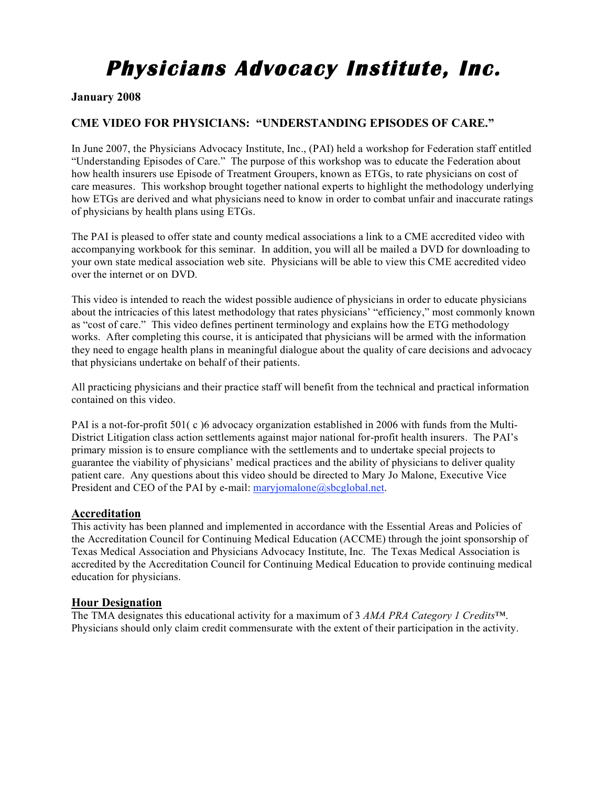# **Physicians Advocacy Institute, Inc.**

## **January 2008**

# **CME VIDEO FOR PHYSICIANS: "UNDERSTANDING EPISODES OF CARE."**

In June 2007, the Physicians Advocacy Institute, Inc., (PAI) held a workshop for Federation staff entitled "Understanding Episodes of Care." The purpose of this workshop was to educate the Federation about how health insurers use Episode of Treatment Groupers, known as ETGs, to rate physicians on cost of care measures. This workshop brought together national experts to highlight the methodology underlying how ETGs are derived and what physicians need to know in order to combat unfair and inaccurate ratings of physicians by health plans using ETGs.

The PAI is pleased to offer state and county medical associations a link to a CME accredited video with accompanying workbook for this seminar. In addition, you will all be mailed a DVD for downloading to your own state medical association web site. Physicians will be able to view this CME accredited video over the internet or on DVD.

This video is intended to reach the widest possible audience of physicians in order to educate physicians about the intricacies of this latest methodology that rates physicians' "efficiency," most commonly known as "cost of care." This video defines pertinent terminology and explains how the ETG methodology works. After completing this course, it is anticipated that physicians will be armed with the information they need to engage health plans in meaningful dialogue about the quality of care decisions and advocacy that physicians undertake on behalf of their patients.

All practicing physicians and their practice staff will benefit from the technical and practical information contained on this video.

PAI is a not-for-profit 501(c) 6 advocacy organization established in 2006 with funds from the Multi-District Litigation class action settlements against major national for-profit health insurers. The PAI's primary mission is to ensure compliance with the settlements and to undertake special projects to guarantee the viability of physicians' medical practices and the ability of physicians to deliver quality patient care. Any questions about this video should be directed to Mary Jo Malone, Executive Vice President and CEO of the PAI by e-mail: maryjomalone@sbcglobal.net.

#### **Accreditation**

This activity has been planned and implemented in accordance with the Essential Areas and Policies of the Accreditation Council for Continuing Medical Education (ACCME) through the joint sponsorship of Texas Medical Association and Physicians Advocacy Institute, Inc. The Texas Medical Association is accredited by the Accreditation Council for Continuing Medical Education to provide continuing medical education for physicians.

#### **Hour Designation**

The TMA designates this educational activity for a maximum of 3 *AMA PRA Category 1 Credits*™. Physicians should only claim credit commensurate with the extent of their participation in the activity.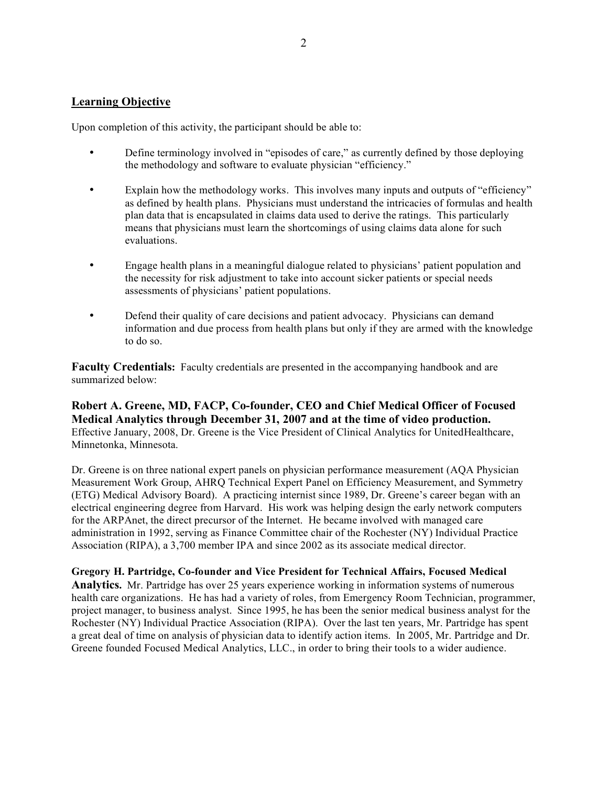### **Learning Objective**

Upon completion of this activity, the participant should be able to:

- Define terminology involved in "episodes of care," as currently defined by those deploying the methodology and software to evaluate physician "efficiency."
- Explain how the methodology works. This involves many inputs and outputs of "efficiency" as defined by health plans. Physicians must understand the intricacies of formulas and health plan data that is encapsulated in claims data used to derive the ratings. This particularly means that physicians must learn the shortcomings of using claims data alone for such evaluations.
- Engage health plans in a meaningful dialogue related to physicians' patient population and the necessity for risk adjustment to take into account sicker patients or special needs assessments of physicians' patient populations.
- Defend their quality of care decisions and patient advocacy. Physicians can demand information and due process from health plans but only if they are armed with the knowledge to do so.

**Faculty Credentials:** Faculty credentials are presented in the accompanying handbook and are summarized below:

**Robert A. Greene, MD, FACP, Co-founder, CEO and Chief Medical Officer of Focused Medical Analytics through December 31, 2007 and at the time of video production.** Effective January, 2008, Dr. Greene is the Vice President of Clinical Analytics for UnitedHealthcare, Minnetonka, Minnesota.

Dr. Greene is on three national expert panels on physician performance measurement (AQA Physician Measurement Work Group, AHRQ Technical Expert Panel on Efficiency Measurement, and Symmetry (ETG) Medical Advisory Board). A practicing internist since 1989, Dr. Greene's career began with an electrical engineering degree from Harvard. His work was helping design the early network computers for the ARPAnet, the direct precursor of the Internet. He became involved with managed care administration in 1992, serving as Finance Committee chair of the Rochester (NY) Individual Practice Association (RIPA), a 3,700 member IPA and since 2002 as its associate medical director.

**Gregory H. Partridge, Co-founder and Vice President for Technical Affairs, Focused Medical Analytics.** Mr. Partridge has over 25 years experience working in information systems of numerous health care organizations. He has had a variety of roles, from Emergency Room Technician, programmer, project manager, to business analyst. Since 1995, he has been the senior medical business analyst for the Rochester (NY) Individual Practice Association (RIPA). Over the last ten years, Mr. Partridge has spent a great deal of time on analysis of physician data to identify action items. In 2005, Mr. Partridge and Dr. Greene founded Focused Medical Analytics, LLC., in order to bring their tools to a wider audience.